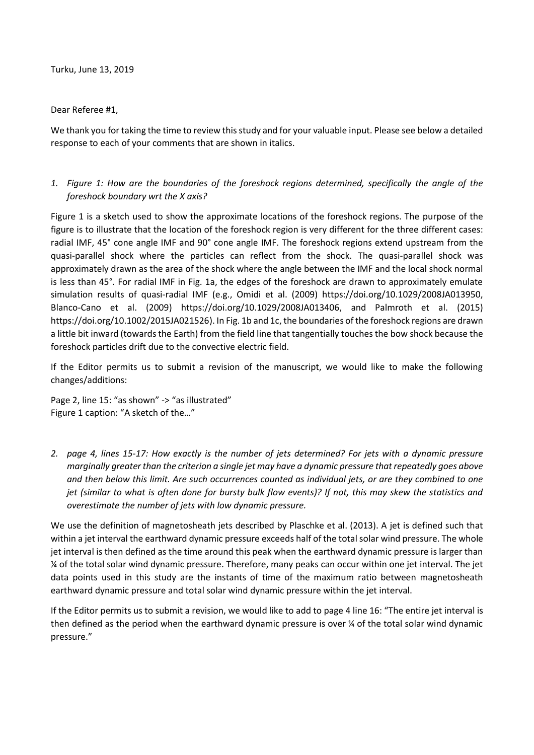Turku, June 13, 2019

Dear Referee #1,

We thank you for taking the time to review this study and for your valuable input. Please see below a detailed response to each of your comments that are shown in italics.

## *1. Figure 1: How are the boundaries of the foreshock regions determined, specifically the angle of the foreshock boundary wrt the X axis?*

Figure 1 is a sketch used to show the approximate locations of the foreshock regions. The purpose of the figure is to illustrate that the location of the foreshock region is very different for the three different cases: radial IMF, 45° cone angle IMF and 90° cone angle IMF. The foreshock regions extend upstream from the quasi-parallel shock where the particles can reflect from the shock. The quasi-parallel shock was approximately drawn as the area of the shock where the angle between the IMF and the local shock normal is less than 45°. For radial IMF in Fig. 1a, the edges of the foreshock are drawn to approximately emulate simulation results of quasi-radial IMF (e.g., Omidi et al. (2009) https://doi.org/10.1029/2008JA013950, Blanco-Cano et al. (2009) https://doi.org/10.1029/2008JA013406, and Palmroth et al. (2015) https://doi.org/10.1002/2015JA021526). In Fig. 1b and 1c, the boundaries of the foreshock regions are drawn a little bit inward (towards the Earth) from the field line that tangentially touches the bow shock because the foreshock particles drift due to the convective electric field.

If the Editor permits us to submit a revision of the manuscript, we would like to make the following changes/additions:

Page 2, line 15: "as shown" -> "as illustrated" Figure 1 caption: "A sketch of the…"

*2. page 4, lines 15-17: How exactly is the number of jets determined? For jets with a dynamic pressure marginally greater than the criterion a single jet may have a dynamic pressure that repeatedly goes above and then below this limit. Are such occurrences counted as individual jets, or are they combined to one jet (similar to what is often done for bursty bulk flow events)? If not, this may skew the statistics and overestimate the number of jets with low dynamic pressure.*

We use the definition of magnetosheath jets described by Plaschke et al. (2013). A jet is defined such that within a jet interval the earthward dynamic pressure exceeds half of the total solar wind pressure. The whole jet interval is then defined as the time around this peak when the earthward dynamic pressure is larger than ¼ of the total solar wind dynamic pressure. Therefore, many peaks can occur within one jet interval. The jet data points used in this study are the instants of time of the maximum ratio between magnetosheath earthward dynamic pressure and total solar wind dynamic pressure within the jet interval.

If the Editor permits us to submit a revision, we would like to add to page 4 line 16: "The entire jet interval is then defined as the period when the earthward dynamic pressure is over ¼ of the total solar wind dynamic pressure."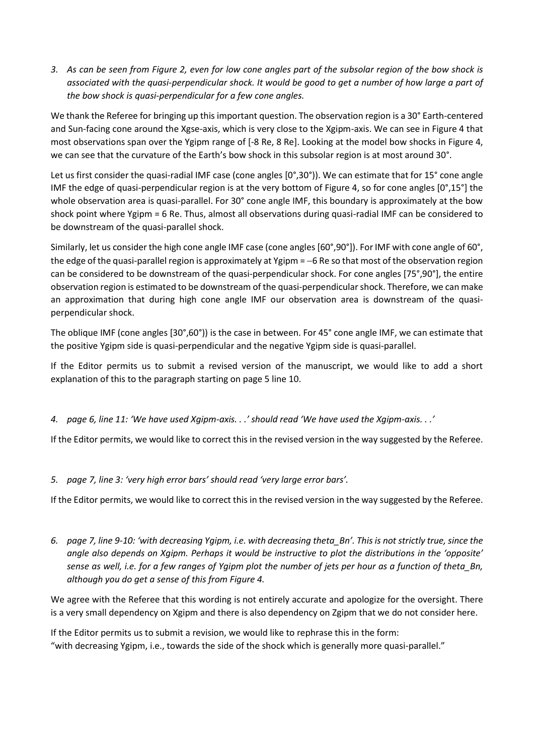*3. As can be seen from Figure 2, even for low cone angles part of the subsolar region of the bow shock is associated with the quasi-perpendicular shock. It would be good to get a number of how large a part of the bow shock is quasi-perpendicular for a few cone angles.*

We thank the Referee for bringing up this important question. The observation region is a 30° Earth-centered and Sun-facing cone around the Xgse-axis, which is very close to the Xgipm-axis. We can see in Figure 4 that most observations span over the Ygipm range of [-8 Re, 8 Re]. Looking at the model bow shocks in Figure 4, we can see that the curvature of the Earth's bow shock in this subsolar region is at most around 30°.

Let us first consider the quasi-radial IMF case (cone angles [0°,30°)). We can estimate that for 15° cone angle IMF the edge of quasi-perpendicular region is at the very bottom of Figure 4, so for cone angles [0°,15°] the whole observation area is quasi-parallel. For 30° cone angle IMF, this boundary is approximately at the bow shock point where Ygipm = 6 Re. Thus, almost all observations during quasi-radial IMF can be considered to be downstream of the quasi-parallel shock.

Similarly, let us consider the high cone angle IMF case (cone angles [60°,90°]). For IMF with cone angle of 60°, the edge of the quasi-parallel region is approximately at Ygipm = −6 Re so that most of the observation region can be considered to be downstream of the quasi-perpendicular shock. For cone angles [75°,90°], the entire observation region is estimated to be downstream of the quasi-perpendicularshock. Therefore, we can make an approximation that during high cone angle IMF our observation area is downstream of the quasiperpendicular shock.

The oblique IMF (cone angles [30°,60°)) is the case in between. For 45° cone angle IMF, we can estimate that the positive Ygipm side is quasi-perpendicular and the negative Ygipm side is quasi-parallel.

If the Editor permits us to submit a revised version of the manuscript, we would like to add a short explanation of this to the paragraph starting on page 5 line 10.

*4. page 6, line 11: 'We have used Xgipm-axis. . .' should read 'We have used the Xgipm-axis. . .'*

If the Editor permits, we would like to correct this in the revised version in the way suggested by the Referee.

*5. page 7, line 3: 'very high error bars' should read 'very large error bars'.*

If the Editor permits, we would like to correct this in the revised version in the way suggested by the Referee.

*6. page 7, line 9-10: 'with decreasing Ygipm, i.e. with decreasing theta\_Bn'. This is not strictly true, since the angle also depends on Xgipm. Perhaps it would be instructive to plot the distributions in the 'opposite' sense as well, i.e. for a few ranges of Ygipm plot the number of jets per hour as a function of theta\_Bn, although you do get a sense of this from Figure 4.*

We agree with the Referee that this wording is not entirely accurate and apologize for the oversight. There is a very small dependency on Xgipm and there is also dependency on Zgipm that we do not consider here.

If the Editor permits us to submit a revision, we would like to rephrase this in the form: "with decreasing Ygipm, i.e., towards the side of the shock which is generally more quasi-parallel."